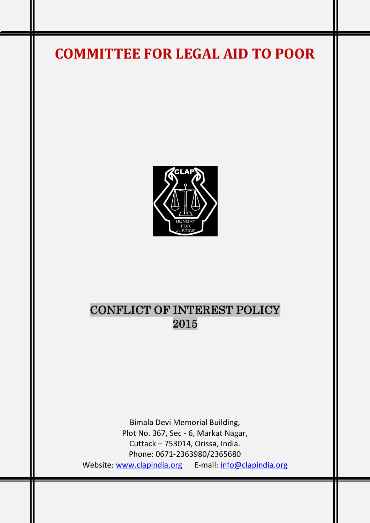# **COMMITTEE FOR LEGAL AID TO POOR**



## CONFLICT OF INTEREST POLICY 2015

Bimala Devi Memorial Building, Plot No. 367, Sec - 6, Markat Nagar, Cuttack – 753014, Orissa, India. Phone: 0671-2363980/2365680 Website: [www.clapindia.org](http://www.clapindia.org/) E-mail: [info@clapindia.org](mailto:info@clapindia.org)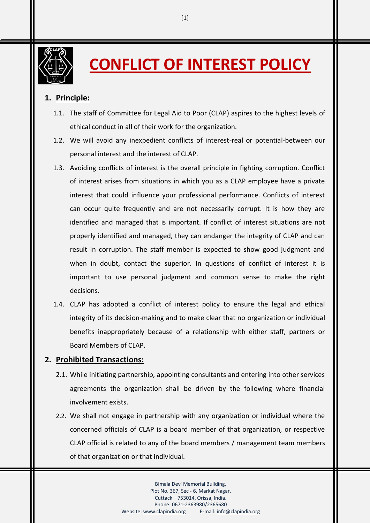

**CONFLICT OF INTEREST POLICY** 

### **1. Principle:**

- 1.1. The staff of Committee for Legal Aid to Poor (CLAP) aspires to the highest levels of ethical conduct in all of their work for the organization.
- 1.2. We will avoid any inexpedient conflicts of interest-real or potential-between our personal interest and the interest of CLAP.
- 1.3. Avoiding conflicts of interest is the overall principle in fighting corruption. Conflict of interest arises from situations in which you as a CLAP employee have a private interest that could influence your professional performance. Conflicts of interest can occur quite frequently and are not necessarily corrupt. It is how they are identified and managed that is important. If conflict of interest situations are not properly identified and managed, they can endanger the integrity of CLAP and can result in corruption. The staff member is expected to show good judgment and when in doubt, contact the superior. In questions of conflict of interest it is important to use personal judgment and common sense to make the right decisions.
- 1.4. CLAP has adopted a conflict of interest policy to ensure the legal and ethical integrity of its decision-making and to make clear that no organization or individual benefits inappropriately because of a relationship with either staff, partners or Board Members of CLAP.

#### **2. Prohibited Transactions:**

- 2.1. While initiating partnership, appointing consultants and entering into other services agreements the organization shall be driven by the following where financial involvement exists.
- 2.2. We shall not engage in partnership with any organization or individual where the concerned officials of CLAP is a board member of that organization, or respective CLAP official is related to any of the board members / management team members of that organization or that individual.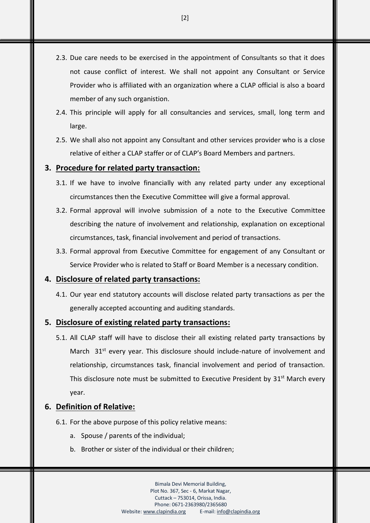- 2.3. Due care needs to be exercised in the appointment of Consultants so that it does not cause conflict of interest. We shall not appoint any Consultant or Service Provider who is affiliated with an organization where a CLAP official is also a board member of any such organistion.
- 2.4. This principle will apply for all consultancies and services, small, long term and large.
- 2.5. We shall also not appoint any Consultant and other services provider who is a close relative of either a CLAP staffer or of CLAP's Board Members and partners.

#### **3. Procedure for related party transaction:**

- 3.1. If we have to involve financially with any related party under any exceptional circumstances then the Executive Committee will give a formal approval.
- 3.2. Formal approval will involve submission of a note to the Executive Committee describing the nature of involvement and relationship, explanation on exceptional circumstances, task, financial involvement and period of transactions.
- 3.3. Formal approval from Executive Committee for engagement of any Consultant or Service Provider who is related to Staff or Board Member is a necessary condition.

#### **4. Disclosure of related party transactions:**

4.1. Our year end statutory accounts will disclose related party transactions as per the generally accepted accounting and auditing standards.

#### **5. Disclosure of existing related party transactions:**

5.1. All CLAP staff will have to disclose their all existing related party transactions by March 31<sup>st</sup> every year. This disclosure should include-nature of involvement and relationship, circumstances task, financial involvement and period of transaction. This disclosure note must be submitted to Executive President by 31<sup>st</sup> March every year.

#### **6. Definition of Relative:**

- 6.1. For the above purpose of this policy relative means:
	- a. Spouse / parents of the individual;
	- b. Brother or sister of the individual or their children;

Bimala Devi Memorial Building, Plot No. 367, Sec - 6, Markat Nagar, Cuttack – 753014, Orissa, India. Phone: 0671-2363980/2365680 Website[: www.clapindia.org](http://www.clapindia.org/) E-mail[: info@clapindia.org](mailto:info@clapindia.org)